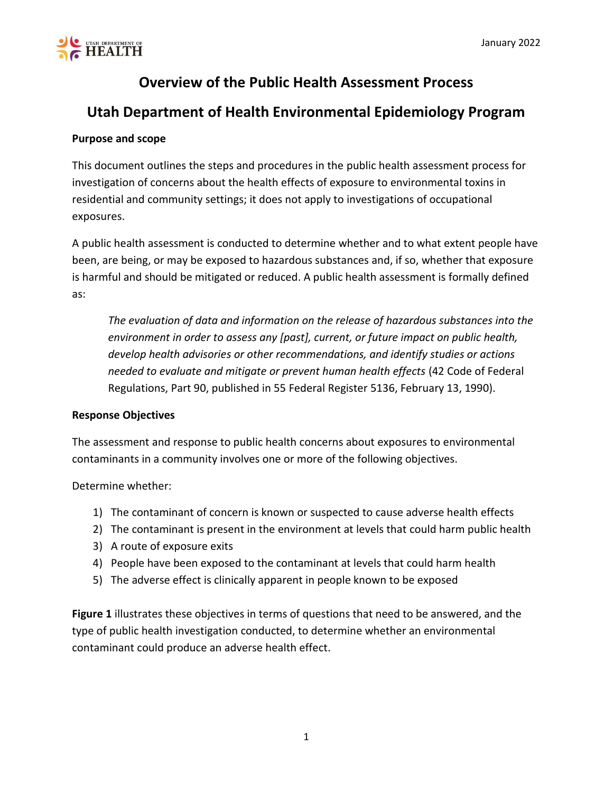

## **Overview of the Public Health Assessment Process**

### **Utah Department of Health Environmental Epidemiology Program**

#### **Purpose and scope**

This document outlines the steps and procedures in the public health assessment process for investigation of concerns about the health effects of exposure to environmental toxins in residential and community settings; it does not apply to investigations of occupational exposures.

A public health assessment is conducted to determine whether and to what extent people have been, are being, or may be exposed to hazardous substances and, if so, whether that exposure is harmful and should be mitigated or reduced. A public health assessment is formally defined as:

*The evaluation of data and information on the release of hazardous substances into the environment in order to assess any [past], current, or future impact on public health, develop health advisories or other recommendations, and identify studies or actions needed to evaluate and mitigate or prevent human health effects* (42 Code of Federal Regulations, Part 90, published in 55 Federal Register 5136, February 13, 1990).

#### **Response Objectives**

The assessment and response to public health concerns about exposures to environmental contaminants in a community involves one or more of the following objectives.

Determine whether:

- 1) The contaminant of concern is known or suspected to cause adverse health effects
- 2) The contaminant is present in the environment at levels that could harm public health
- 3) A route of exposure exits
- 4) People have been exposed to the contaminant at levels that could harm health
- 5) The adverse effect is clinically apparent in people known to be exposed

**Figure 1** illustrates these objectives in terms of questions that need to be answered, and the type of public health investigation conducted, to determine whether an environmental contaminant could produce an adverse health effect.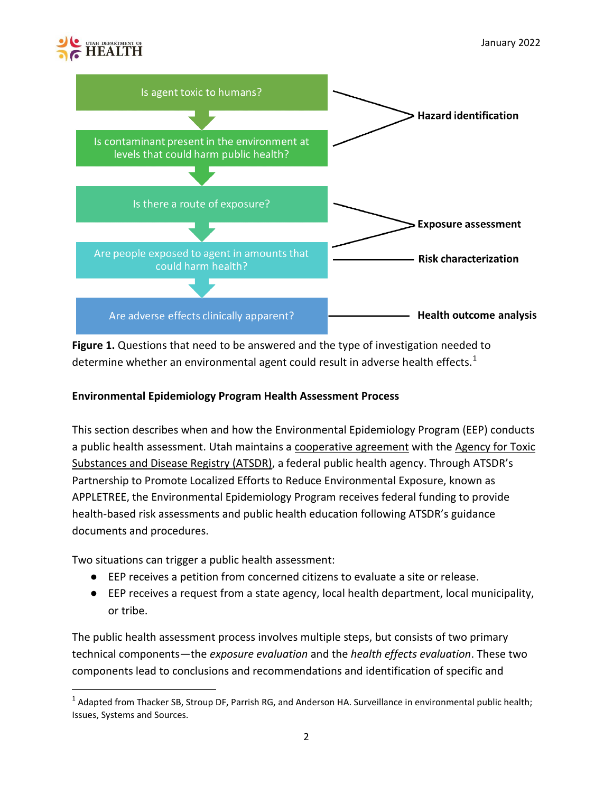# **EALTH**

 $\overline{\phantom{a}}$ 



**Figure 1.** Questions that need to be answered and the type of investigation needed to determine whether an environmental agent could result in adverse health effects. $1$ 

#### **Environmental Epidemiology Program Health Assessment Process**

This section describes when and how the Environmental Epidemiology Program (EEP) conducts a public health assessment. Utah maintains a [cooperative agreement](http://www.atsdr.cdc.gov/states/background.html) with the [Agency for Toxic](http://www.atsdr.cdc.gov/)  [Substances and Disease Registry \(ATSDR\)](http://www.atsdr.cdc.gov/), a federal public health agency. Through ATSDR's Partnership to Promote Localized Efforts to Reduce Environmental Exposure, known as APPLETREE, the Environmental Epidemiology Program receives federal funding to provide health-based risk assessments and public health education following ATSDR's guidance documents and procedures.

Two situations can trigger a public health assessment:

- EEP receives a petition from concerned citizens to evaluate a site or release.
- EEP receives a request from a state agency, local health department, local municipality, or tribe.

The public health assessment process involves multiple steps, but consists of two primary technical components—the *exposure evaluation* and the *health effects evaluation*. These two components lead to conclusions and recommendations and identification of specific and

<sup>&</sup>lt;sup>1</sup> Adapted from Thacker SB, Stroup DF, Parrish RG, and Anderson HA. Surveillance in environmental public health; Issues, Systems and Sources.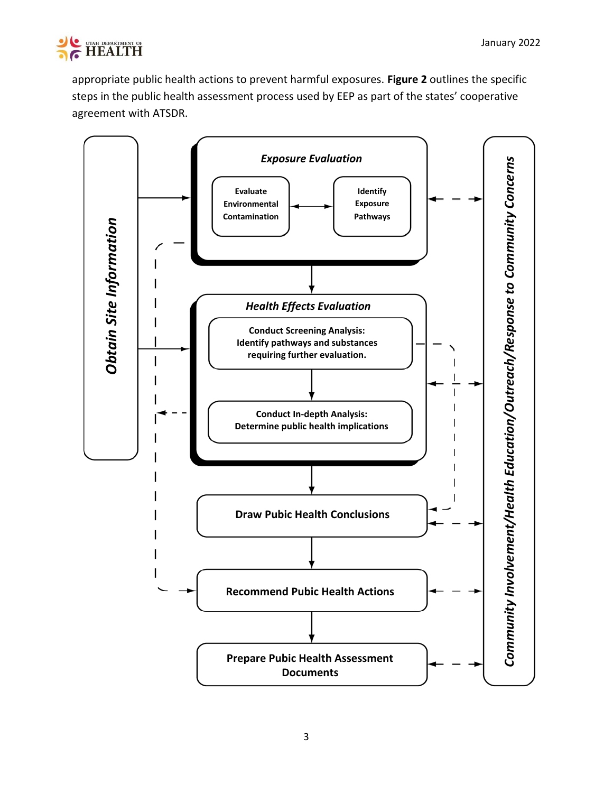

appropriate public health actions to prevent harmful exposures. **Figure 2** outlines the specific steps in the public health assessment process used by EEP as part of the states' cooperative agreement with ATSDR.

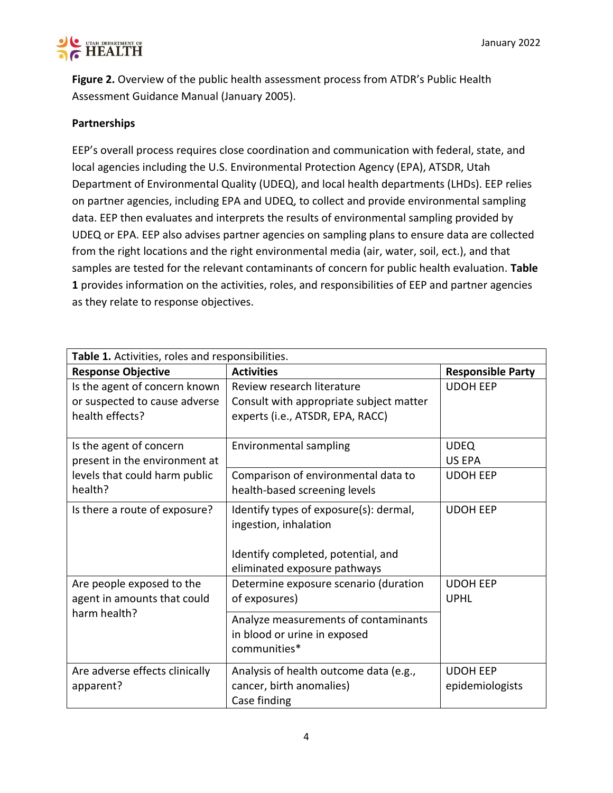

**Figure 2.** Overview of the public health assessment process from ATDR's Public Health Assessment Guidance Manual (January 2005).

#### **Partnerships**

EEP's overall process requires close coordination and communication with federal, state, and local agencies including the U.S. Environmental Protection Agency (EPA), ATSDR, Utah Department of Environmental Quality (UDEQ), and local health departments (LHDs). EEP relies on partner agencies, including EPA and UDEQ, to collect and provide environmental sampling data. EEP then evaluates and interprets the results of environmental sampling provided by UDEQ or EPA. EEP also advises partner agencies on sampling plans to ensure data are collected from the right locations and the right environmental media (air, water, soil, ect.), and that samples are tested for the relevant contaminants of concern for public health evaluation. **Table 1** provides information on the activities, roles, and responsibilities of EEP and partner agencies as they relate to response objectives.

| Table 1. Activities, roles and responsibilities. |                                                                                                                                                                                                                              |  |
|--------------------------------------------------|------------------------------------------------------------------------------------------------------------------------------------------------------------------------------------------------------------------------------|--|
| <b>Activities</b>                                | <b>Responsible Party</b>                                                                                                                                                                                                     |  |
| Review research literature                       | <b>UDOH EEP</b>                                                                                                                                                                                                              |  |
| Consult with appropriate subject matter          |                                                                                                                                                                                                                              |  |
| experts (i.e., ATSDR, EPA, RACC)                 |                                                                                                                                                                                                                              |  |
|                                                  |                                                                                                                                                                                                                              |  |
|                                                  | <b>UDEQ</b>                                                                                                                                                                                                                  |  |
|                                                  | <b>US EPA</b>                                                                                                                                                                                                                |  |
| Comparison of environmental data to              | <b>UDOH EEP</b>                                                                                                                                                                                                              |  |
|                                                  |                                                                                                                                                                                                                              |  |
| Identify types of exposure(s): dermal,           | <b>UDOH EEP</b>                                                                                                                                                                                                              |  |
| ingestion, inhalation                            |                                                                                                                                                                                                                              |  |
|                                                  |                                                                                                                                                                                                                              |  |
| Identify completed, potential, and               |                                                                                                                                                                                                                              |  |
| eliminated exposure pathways                     |                                                                                                                                                                                                                              |  |
| Determine exposure scenario (duration            | <b>UDOH EEP</b>                                                                                                                                                                                                              |  |
| of exposures)                                    | <b>UPHL</b>                                                                                                                                                                                                                  |  |
|                                                  |                                                                                                                                                                                                                              |  |
|                                                  |                                                                                                                                                                                                                              |  |
| communities*                                     |                                                                                                                                                                                                                              |  |
|                                                  | <b>UDOH EEP</b>                                                                                                                                                                                                              |  |
|                                                  | epidemiologists                                                                                                                                                                                                              |  |
|                                                  |                                                                                                                                                                                                                              |  |
|                                                  | <b>Environmental sampling</b><br>health-based screening levels<br>Analyze measurements of contaminants<br>in blood or urine in exposed<br>Analysis of health outcome data (e.g.,<br>cancer, birth anomalies)<br>Case finding |  |